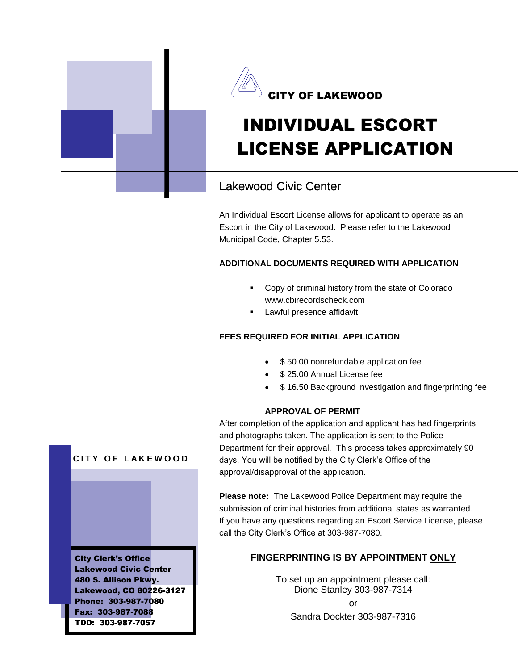



# INDIVIDUAL ESCORT LICENSE APPLICATION

## Lakewood Civic Center

An Individual Escort License allows for applicant to operate as an Escort in the City of Lakewood. Please refer to the Lakewood Municipal Code, Chapter 5.53.

## **ADDITIONAL DOCUMENTS REQUIRED WITH APPLICATION**

- **Copy of criminal history from the state of Colorado** www.cbirecordscheck.com
- **Lawful presence affidavit**

## **FEES REQUIRED FOR INITIAL APPLICATION**

- \$50.00 nonrefundable application fee
- \$ 25.00 Annual License fee
- \$ 16.50 Background investigation and fingerprinting fee

## **APPROVAL OF PERMIT**

After completion of the application and applicant has had fingerprints and photographs taken. The application is sent to the Police Department for their approval. This process takes approximately 30 90 days. You will be notified by the City Clerk's Office of the approval/disapproval of the application.

**Please note:** The Lakewood Police Department may require the days. You will be notified by the City Clerk's Office of the<br>approval/disapproval of the application.<br>Please note: The Lakewood Police Department may require the<br>submission of criminal histories from additional states as w If you have any questions regarding an Escort Service License, please call the City Clerk's Office at 303-987-7080.

## ${\color{red}\mathsf{FINGERPRINTING}}$  IS BY APPOINTMENT <u>ONLY</u>

To set up an appointment please call: Dione Stanley 303-987-7314 or Sandra Dockter 303-987-7316



City Clerk's Office Lakewood Civic Center 480 S. Allison Pkwy. Lakewood, CO 80226-3127 Phone: 303-987-7080 Fax: 303-987-7088 TDD: 303-987-7057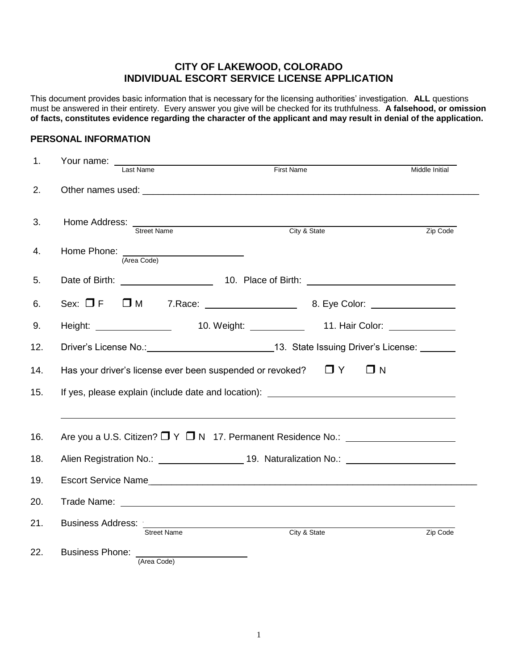## **CITY OF LAKEWOOD, COLORADO INDIVIDUAL ESCORT SERVICE LICENSE APPLICATION**

This document provides basic information that is necessary for the licensing authorities' investigation. **ALL** questions must be answered in their entirety. Every answer you give will be checked for its truthfulness. **A falsehood, or omission of facts, constitutes evidence regarding the character of the applicant and may result in denial of the application.**

#### **PERSONAL INFORMATION**

| 1.         | Your name:<br>Last Name                                                                       | <b>First Name</b> |                      | Middle Initial |  |  |  |  |
|------------|-----------------------------------------------------------------------------------------------|-------------------|----------------------|----------------|--|--|--|--|
| 2.         |                                                                                               |                   |                      |                |  |  |  |  |
| 3.         | Home Address:<br>Street Name                                                                  |                   | City & State         | Zip Code       |  |  |  |  |
| 4.         | Home Phone:<br>(Area Code)                                                                    |                   |                      |                |  |  |  |  |
| 5.         |                                                                                               |                   |                      |                |  |  |  |  |
| 6.         |                                                                                               |                   |                      |                |  |  |  |  |
| 9.         | Height: __________________                                                                    |                   |                      |                |  |  |  |  |
| 12.        | Driver's License No.: 13. State Issuing Driver's License: 15. State Issuing Driver's License: |                   |                      |                |  |  |  |  |
| 14.        | Has your driver's license ever been suspended or revoked?                                     |                   | $\Box$ Y<br>$\Box$ N |                |  |  |  |  |
| 15.        | If yes, please explain (include date and location): _____________________________             |                   |                      |                |  |  |  |  |
| 16.<br>18. | Are you a U.S. Citizen? $\Box$ Y $\Box$ N 17. Permanent Residence No.: $\Box$                 |                   |                      |                |  |  |  |  |
| 19.        | Escort Service Name                                                                           |                   |                      |                |  |  |  |  |
| 20.        |                                                                                               |                   |                      |                |  |  |  |  |
| 21.        | Business Address: :<br><b>Street Name</b>                                                     |                   | City & State         | Zip Code       |  |  |  |  |
| 22.        | Business Phone: ________________________<br>(Area Code)                                       |                   |                      |                |  |  |  |  |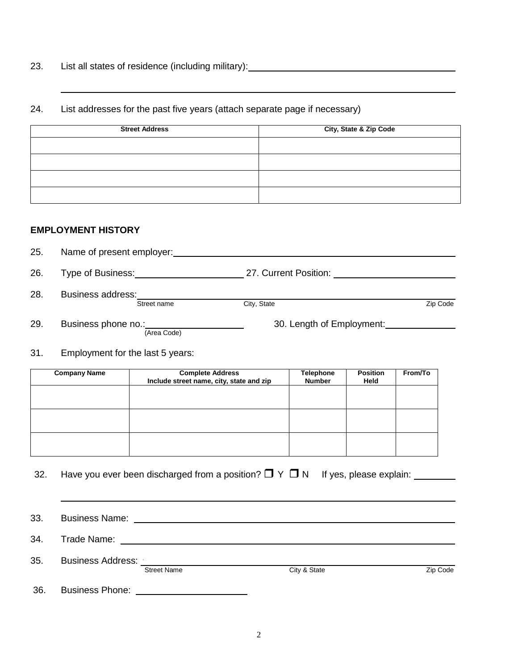23. List all states of residence (including military): <u>contained and contained</u> containing and containing and containing and containing and containing and containing and containing and containing and containing and contai

#### 24. List addresses for the past five years (attach separate page if necessary)

| <b>Street Address</b> | City, State & Zip Code |
|-----------------------|------------------------|
|                       |                        |
|                       |                        |
|                       |                        |
|                       |                        |

## **EMPLOYMENT HISTORY**

25. Name of present employer: 26. Type of Business: 27. Current Position: 28. Business address: Street name **City, State City, State City, State City, State City, State Zip Code** 29. Business phone no.: 100 million compared to the Susiness phone no.: 100 million compared to 30. Length of Employment: (Area Code)

31. Employment for the last 5 years:

| <b>Company Name</b> | <b>Complete Address</b><br>Include street name, city, state and zip | <b>Telephone</b><br><b>Number</b> | <b>Position</b><br>Held | From/To |
|---------------------|---------------------------------------------------------------------|-----------------------------------|-------------------------|---------|
|                     |                                                                     |                                   |                         |         |
|                     |                                                                     |                                   |                         |         |
|                     |                                                                     |                                   |                         |         |
|                     |                                                                     |                                   |                         |         |

32. Have you ever been discharged from a position?  $\Box$  Y  $\Box$  N If yes, please explain:

33. Business Name:

34. Trade Name:

| 35. | <b>Business Address:</b> |                    |              |          |  |
|-----|--------------------------|--------------------|--------------|----------|--|
|     |                          | <b>Street Name</b> | City & State | Zip Code |  |

36. Business Phone: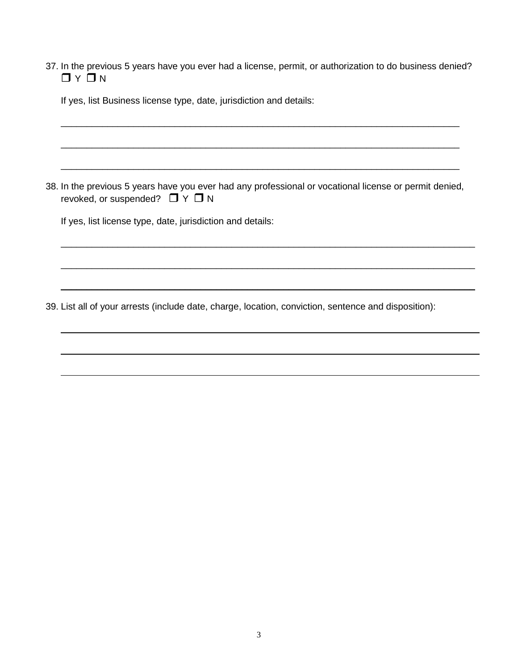37. In the previous 5 years have you ever had a license, permit, or authorization to do business denied?  $\Box$   $\lor$   $\Box$   $\lor$ 

\_\_\_\_\_\_\_\_\_\_\_\_\_\_\_\_\_\_\_\_\_\_\_\_\_\_\_\_\_\_\_\_\_\_\_\_\_\_\_\_\_\_\_\_\_\_\_\_\_\_\_\_\_\_\_\_\_\_\_\_\_\_\_\_\_\_\_\_\_\_\_\_\_\_\_\_\_

\_\_\_\_\_\_\_\_\_\_\_\_\_\_\_\_\_\_\_\_\_\_\_\_\_\_\_\_\_\_\_\_\_\_\_\_\_\_\_\_\_\_\_\_\_\_\_\_\_\_\_\_\_\_\_\_\_\_\_\_\_\_\_\_\_\_\_\_\_\_\_\_\_\_\_\_\_

\_\_\_\_\_\_\_\_\_\_\_\_\_\_\_\_\_\_\_\_\_\_\_\_\_\_\_\_\_\_\_\_\_\_\_\_\_\_\_\_\_\_\_\_\_\_\_\_\_\_\_\_\_\_\_\_\_\_\_\_\_\_\_\_\_\_\_\_\_\_\_\_\_\_\_\_\_

| If yes, list Business license type, date, jurisdiction and details: |  |  |  |  |  |  |  |
|---------------------------------------------------------------------|--|--|--|--|--|--|--|
|---------------------------------------------------------------------|--|--|--|--|--|--|--|

38. In the previous 5 years have you ever had any professional or vocational license or permit denied, revoked, or suspended?  $\Box Y \Box N$ 

\_\_\_\_\_\_\_\_\_\_\_\_\_\_\_\_\_\_\_\_\_\_\_\_\_\_\_\_\_\_\_\_\_\_\_\_\_\_\_\_\_\_\_\_\_\_\_\_\_\_\_\_\_\_\_\_\_\_\_\_\_\_\_\_\_\_\_\_\_\_\_\_\_\_\_\_\_\_\_\_

\_\_\_\_\_\_\_\_\_\_\_\_\_\_\_\_\_\_\_\_\_\_\_\_\_\_\_\_\_\_\_\_\_\_\_\_\_\_\_\_\_\_\_\_\_\_\_\_\_\_\_\_\_\_\_\_\_\_\_\_\_\_\_\_\_\_\_\_\_\_\_\_\_\_\_\_\_\_\_\_

\_\_\_\_\_\_\_\_\_\_\_\_\_\_\_\_\_\_\_\_\_\_\_\_\_\_\_\_\_\_\_\_\_\_\_\_\_\_\_\_\_\_\_\_\_\_\_\_\_\_\_\_\_\_\_\_\_\_\_\_\_\_\_\_\_\_\_\_\_\_\_\_\_\_\_\_\_\_\_\_

If yes, list license type, date, jurisdiction and details:

39. List all of your arrests (include date, charge, location, conviction, sentence and disposition):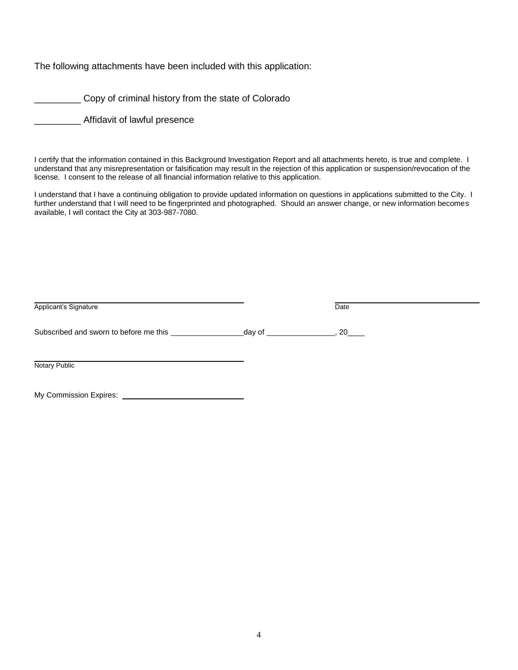The following attachments have been included with this application:

\_\_\_\_\_\_\_\_\_ Copy of criminal history from the state of Colorado

\_\_\_\_\_\_\_\_\_ Affidavit of lawful presence

I certify that the information contained in this Background Investigation Report and all attachments hereto, is true and complete. I understand that any misrepresentation or falsification may result in the rejection of this application or suspension/revocation of the license. I consent to the release of all financial information relative to this application.

I understand that I have a continuing obligation to provide updated information on questions in applications submitted to the City. I further understand that I will need to be fingerprinted and photographed. Should an answer change, or new information becomes available, I will contact the City at 303-987-7080.

| Applicant's Signature                  |           | Date |
|----------------------------------------|-----------|------|
| Subscribed and sworn to before me this | _day of _ | . 20 |
| <b>Notary Public</b>                   |           |      |
| My Commission Expires:                 |           |      |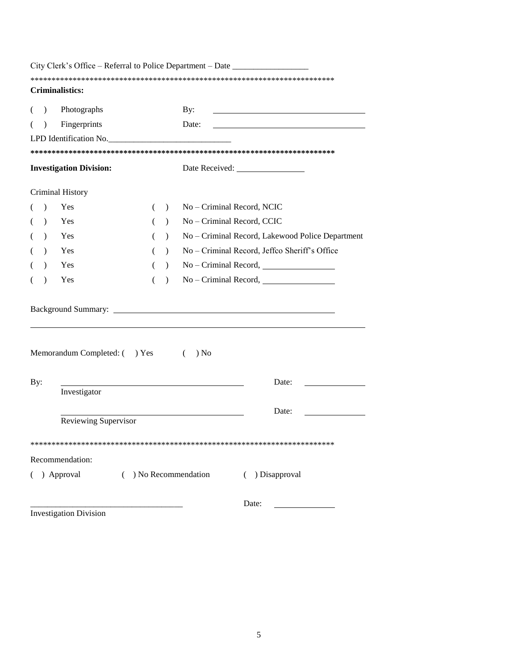|           | City Clerk's Office – Referral to Police Department – Date _____________________ |   |               |                            |                                                  |
|-----------|----------------------------------------------------------------------------------|---|---------------|----------------------------|--------------------------------------------------|
|           | Criminalistics:                                                                  |   |               |                            |                                                  |
|           |                                                                                  |   |               |                            |                                                  |
| $\lambda$ | Photographs                                                                      |   |               | By:                        |                                                  |
| $\lambda$ | Fingerprints                                                                     |   |               | Date:                      |                                                  |
|           | LPD Identification No.                                                           |   |               |                            |                                                  |
|           |                                                                                  |   |               |                            |                                                  |
|           | <b>Investigation Division:</b>                                                   |   |               |                            |                                                  |
|           | Criminal History                                                                 |   |               |                            |                                                  |
| $\lambda$ | Yes                                                                              | € | $\lambda$     | No - Criminal Record, NCIC |                                                  |
| $\lambda$ | Yes                                                                              |   | $\lambda$     | No - Criminal Record, CCIC |                                                  |
| $\lambda$ | Yes                                                                              |   | $\mathcal{L}$ |                            | No - Criminal Record, Lakewood Police Department |
| $\lambda$ | Yes                                                                              |   | $\lambda$     |                            | No - Criminal Record, Jeffco Sheriff's Office    |
| $\lambda$ | Yes                                                                              | € | $\mathcal{L}$ |                            | $No - Criminal Record,$                          |
| $\lambda$ | Yes                                                                              | ( | $\lambda$     |                            |                                                  |
|           |                                                                                  |   |               |                            |                                                  |
|           | Memorandum Completed: () Yes                                                     |   |               | ) No<br>$\left($           |                                                  |
| By:       |                                                                                  |   |               |                            | Date:                                            |
|           | Investigator                                                                     |   |               |                            |                                                  |
|           |                                                                                  |   |               |                            | Date:                                            |
|           | Reviewing Supervisor                                                             |   |               |                            |                                                  |
|           |                                                                                  |   |               |                            |                                                  |
|           | Recommendation:                                                                  |   |               |                            |                                                  |
|           | ( ) Approval                                                                     |   |               | $( )$ No Recommendation    | ( ) Disapproval                                  |
|           |                                                                                  |   |               |                            | Date:                                            |
|           | <b>Investigation Division</b>                                                    |   |               |                            |                                                  |

5